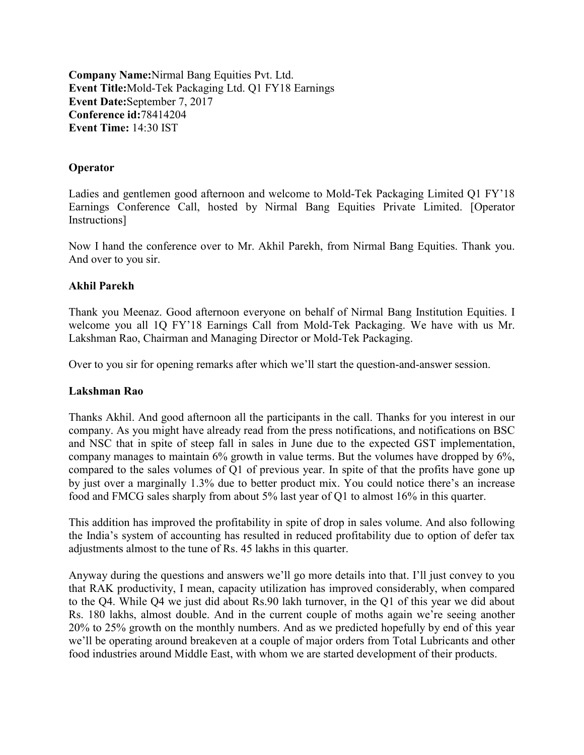**Company Name:**Nirmal Bang Equities Pvt. Ltd. **Event Title:**Mold-Tek Packaging Ltd. Q1 FY18 Earnings **Event Date:**September 7, 2017 **Conference id:**78414204 **Event Time:** 14:30 IST

## **Operator**

Ladies and gentlemen good afternoon and welcome to Mold-Tek Packaging Limited Q1 FY'18 Earnings Conference Call, hosted by Nirmal Bang Equities Private Limited. [Operator Instructions]

Now I hand the conference over to Mr. Akhil Parekh, from Nirmal Bang Equities. Thank you. And over to you sir.

## **Akhil Parekh**

Thank you Meenaz. Good afternoon everyone on behalf of Nirmal Bang Institution Equities. I welcome you all 1Q FY'18 Earnings Call from Mold-Tek Packaging. We have with us Mr. Lakshman Rao, Chairman and Managing Director or Mold-Tek Packaging.

Over to you sir for opening remarks after which we'll start the question-and-answer session.

### **Lakshman Rao**

Thanks Akhil. And good afternoon all the participants in the call. Thanks for you interest in our company. As you might have already read from the press notifications, and notifications on BSC and NSC that in spite of steep fall in sales in June due to the expected GST implementation, company manages to maintain 6% growth in value terms. But the volumes have dropped by 6%, compared to the sales volumes of Q1 of previous year. In spite of that the profits have gone up by just over a marginally 1.3% due to better product mix. You could notice there's an increase food and FMCG sales sharply from about 5% last year of Q1 to almost 16% in this quarter.

This addition has improved the profitability in spite of drop in sales volume. And also following the India's system of accounting has resulted in reduced profitability due to option of defer tax adjustments almost to the tune of Rs. 45 lakhs in this quarter.

Anyway during the questions and answers we'll go more details into that. I'll just convey to you that RAK productivity, I mean, capacity utilization has improved considerably, when compared to the Q4. While Q4 we just did about Rs.90 lakh turnover, in the Q1 of this year we did about Rs. 180 lakhs, almost double. And in the current couple of moths again we're seeing another 20% to 25% growth on the monthly numbers. And as we predicted hopefully by end of this year we'll be operating around breakeven at a couple of major orders from Total Lubricants and other food industries around Middle East, with whom we are started development of their products.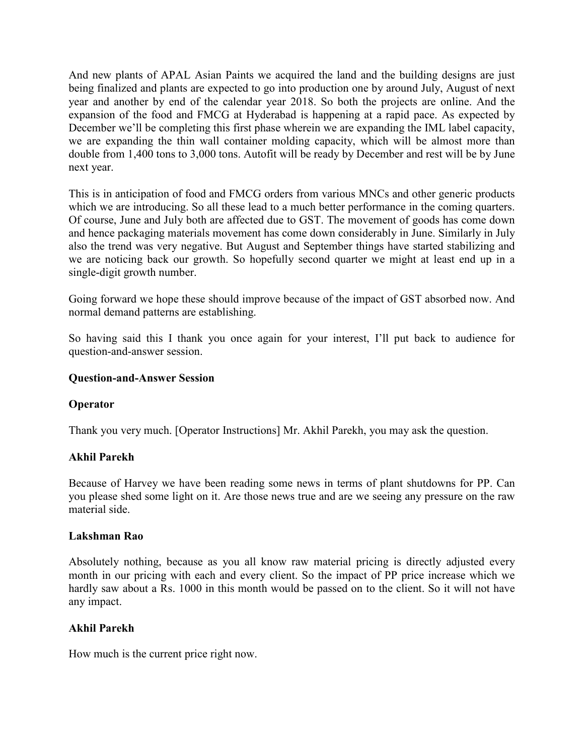And new plants of APAL Asian Paints we acquired the land and the building designs are just being finalized and plants are expected to go into production one by around July, August of next year and another by end of the calendar year 2018. So both the projects are online. And the expansion of the food and FMCG at Hyderabad is happening at a rapid pace. As expected by December we'll be completing this first phase wherein we are expanding the IML label capacity, we are expanding the thin wall container molding capacity, which will be almost more than double from 1,400 tons to 3,000 tons. Autofit will be ready by December and rest will be by June next year.

This is in anticipation of food and FMCG orders from various MNCs and other generic products which we are introducing. So all these lead to a much better performance in the coming quarters. Of course, June and July both are affected due to GST. The movement of goods has come down and hence packaging materials movement has come down considerably in June. Similarly in July also the trend was very negative. But August and September things have started stabilizing and we are noticing back our growth. So hopefully second quarter we might at least end up in a single-digit growth number.

Going forward we hope these should improve because of the impact of GST absorbed now. And normal demand patterns are establishing.

So having said this I thank you once again for your interest, I'll put back to audience for question-and-answer session.

## **Question-and-Answer Session**

# **Operator**

Thank you very much. [Operator Instructions] Mr. Akhil Parekh, you may ask the question.

### **Akhil Parekh**

Because of Harvey we have been reading some news in terms of plant shutdowns for PP. Can you please shed some light on it. Are those news true and are we seeing any pressure on the raw material side.

### **Lakshman Rao**

Absolutely nothing, because as you all know raw material pricing is directly adjusted every month in our pricing with each and every client. So the impact of PP price increase which we hardly saw about a Rs. 1000 in this month would be passed on to the client. So it will not have any impact.

### **Akhil Parekh**

How much is the current price right now.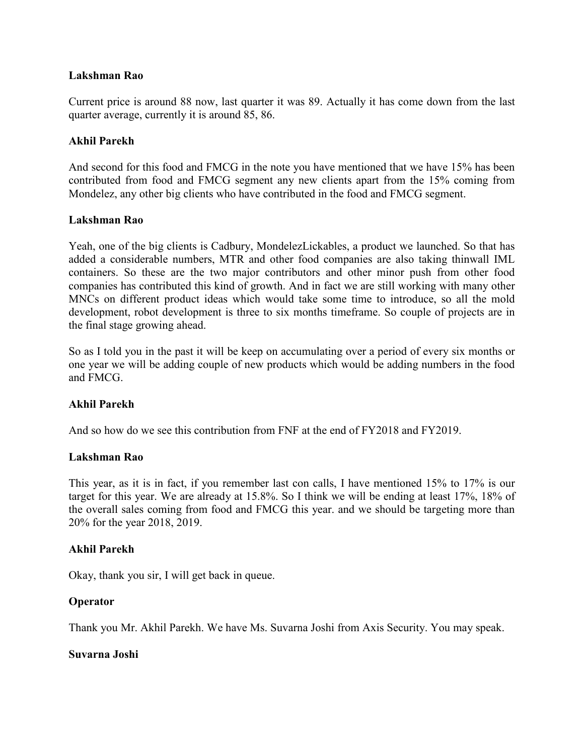Current price is around 88 now, last quarter it was 89. Actually it has come down from the last quarter average, currently it is around 85, 86.

## **Akhil Parekh**

And second for this food and FMCG in the note you have mentioned that we have 15% has been contributed from food and FMCG segment any new clients apart from the 15% coming from Mondelez, any other big clients who have contributed in the food and FMCG segment.

## **Lakshman Rao**

Yeah, one of the big clients is Cadbury, MondelezLickables, a product we launched. So that has added a considerable numbers, MTR and other food companies are also taking thinwall IML containers. So these are the two major contributors and other minor push from other food companies has contributed this kind of growth. And in fact we are still working with many other MNCs on different product ideas which would take some time to introduce, so all the mold development, robot development is three to six months timeframe. So couple of projects are in the final stage growing ahead.

So as I told you in the past it will be keep on accumulating over a period of every six months or one year we will be adding couple of new products which would be adding numbers in the food and FMCG.

### **Akhil Parekh**

And so how do we see this contribution from FNF at the end of FY2018 and FY2019.

### **Lakshman Rao**

This year, as it is in fact, if you remember last con calls, I have mentioned 15% to 17% is our target for this year. We are already at 15.8%. So I think we will be ending at least 17%, 18% of the overall sales coming from food and FMCG this year. and we should be targeting more than 20% for the year 2018, 2019.

### **Akhil Parekh**

Okay, thank you sir, I will get back in queue.

# **Operator**

Thank you Mr. Akhil Parekh. We have Ms. Suvarna Joshi from Axis Security. You may speak.

### **Suvarna Joshi**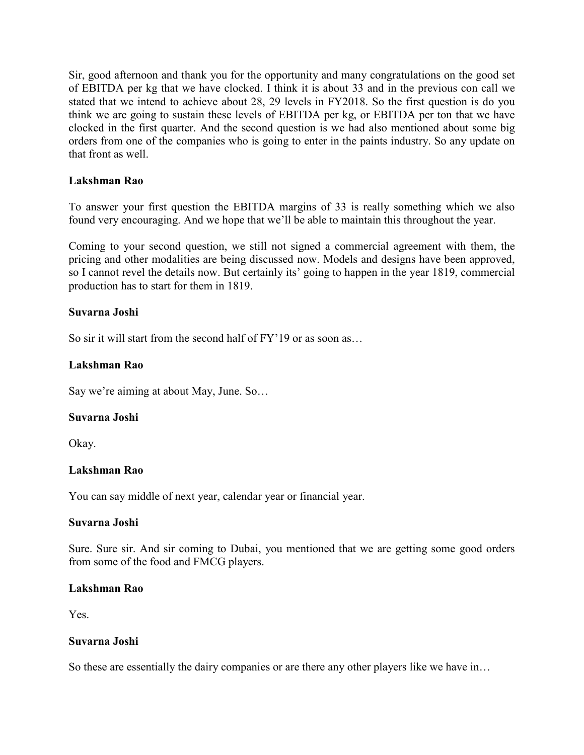Sir, good afternoon and thank you for the opportunity and many congratulations on the good set of EBITDA per kg that we have clocked. I think it is about 33 and in the previous con call we stated that we intend to achieve about 28, 29 levels in FY2018. So the first question is do you think we are going to sustain these levels of EBITDA per kg, or EBITDA per ton that we have clocked in the first quarter. And the second question is we had also mentioned about some big orders from one of the companies who is going to enter in the paints industry. So any update on that front as well.

## **Lakshman Rao**

To answer your first question the EBITDA margins of 33 is really something which we also found very encouraging. And we hope that we'll be able to maintain this throughout the year.

Coming to your second question, we still not signed a commercial agreement with them, the pricing and other modalities are being discussed now. Models and designs have been approved, so I cannot revel the details now. But certainly its' going to happen in the year 1819, commercial production has to start for them in 1819.

### **Suvarna Joshi**

So sir it will start from the second half of FY'19 or as soon as...

## **Lakshman Rao**

Say we're aiming at about May, June. So…

### **Suvarna Joshi**

Okay.

### **Lakshman Rao**

You can say middle of next year, calendar year or financial year.

### **Suvarna Joshi**

Sure. Sure sir. And sir coming to Dubai, you mentioned that we are getting some good orders from some of the food and FMCG players.

## **Lakshman Rao**

Yes.

### **Suvarna Joshi**

So these are essentially the dairy companies or are there any other players like we have in…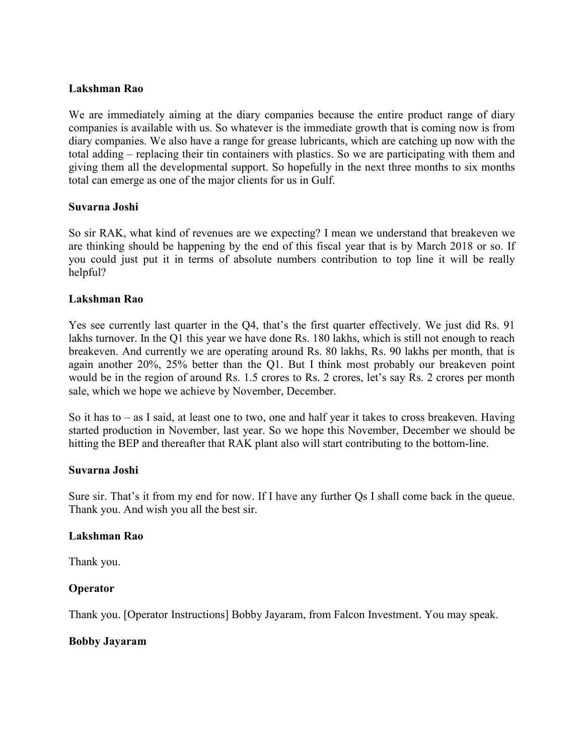We are immediately aiming at the diary companies because the entire product range of diary companies is available with us. So whatever is the immediate growth that is coming now is from diary companies. We also have a range for grease lubricants, which are catching up now with the total adding – replacing their tin containers with plastics. So we are participating with them and giving them all the developmental support. So hopefully in the next three months to six months total can emerge as one of the major clients for us in Gulf.

### **Suvarna Joshi**

So sir RAK, what kind of revenues are we expecting? I mean we understand that breakeven we are thinking should be happening by the end of this fiscal year that is by March 2018 or so. If you could just put it in terms of absolute numbers contribution to top line it will be really helpful?

### **Lakshman Rao**

Yes see currently last quarter in the Q4, that's the first quarter effectively. We just did Rs. 91 lakhs turnover. In the Q1 this year we have done Rs. 180 lakhs, which is still not enough to reach breakeven. And currently we are operating around Rs. 80 lakhs, Rs. 90 lakhs per month, that is again another 20%, 25% better than the Q1. But I think most probably our breakeven point would be in the region of around Rs. 1.5 crores to Rs. 2 crores, let's say Rs. 2 crores per month sale, which we hope we achieve by November, December.

So it has to – as I said, at least one to two, one and half year it takes to cross breakeven. Having started production in November, last year. So we hope this November, December we should be hitting the BEP and thereafter that RAK plant also will start contributing to the bottom-line.

### **Suvarna Joshi**

Sure sir. That's it from my end for now. If I have any further Qs I shall come back in the queue. Thank you. And wish you all the best sir.

### **Lakshman Rao**

Thank you.

### **Operator**

Thank you. [Operator Instructions] Bobby Jayaram, from Falcon Investment. You may speak.

### **Bobby Jayaram**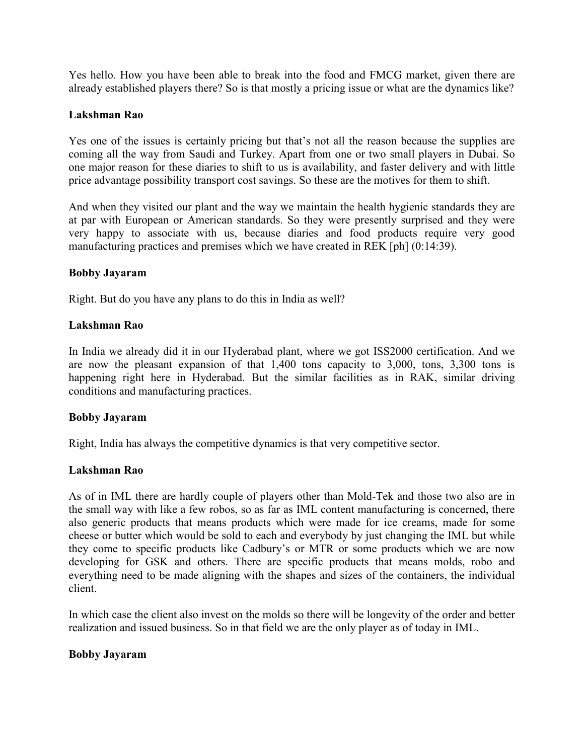Yes hello. How you have been able to break into the food and FMCG market, given there are already established players there? So is that mostly a pricing issue or what are the dynamics like?

## **Lakshman Rao**

Yes one of the issues is certainly pricing but that's not all the reason because the supplies are coming all the way from Saudi and Turkey. Apart from one or two small players in Dubai. So one major reason for these diaries to shift to us is availability, and faster delivery and with little price advantage possibility transport cost savings. So these are the motives for them to shift.

And when they visited our plant and the way we maintain the health hygienic standards they are at par with European or American standards. So they were presently surprised and they were very happy to associate with us, because diaries and food products require very good manufacturing practices and premises which we have created in REK [ph] (0:14:39).

### **Bobby Jayaram**

Right. But do you have any plans to do this in India as well?

## **Lakshman Rao**

In India we already did it in our Hyderabad plant, where we got ISS2000 certification. And we are now the pleasant expansion of that 1,400 tons capacity to 3,000, tons, 3,300 tons is happening right here in Hyderabad. But the similar facilities as in RAK, similar driving conditions and manufacturing practices.

### **Bobby Jayaram**

Right, India has always the competitive dynamics is that very competitive sector.

# **Lakshman Rao**

As of in IML there are hardly couple of players other than Mold-Tek and those two also are in the small way with like a few robos, so as far as IML content manufacturing is concerned, there also generic products that means products which were made for ice creams, made for some cheese or butter which would be sold to each and everybody by just changing the IML but while they come to specific products like Cadbury's or MTR or some products which we are now developing for GSK and others. There are specific products that means molds, robo and everything need to be made aligning with the shapes and sizes of the containers, the individual client.

In which case the client also invest on the molds so there will be longevity of the order and better realization and issued business. So in that field we are the only player as of today in IML.

### **Bobby Jayaram**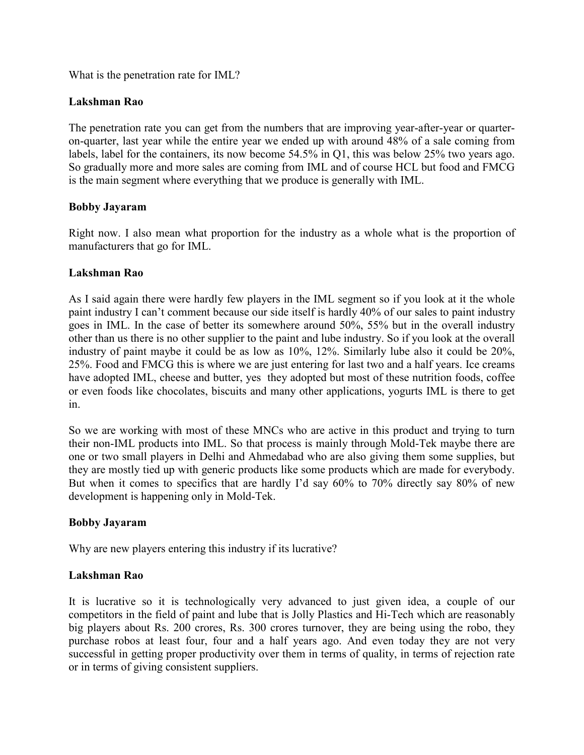What is the penetration rate for IML?

# **Lakshman Rao**

The penetration rate you can get from the numbers that are improving year-after-year or quarteron-quarter, last year while the entire year we ended up with around 48% of a sale coming from labels, label for the containers, its now become 54.5% in Q1, this was below 25% two years ago. So gradually more and more sales are coming from IML and of course HCL but food and FMCG is the main segment where everything that we produce is generally with IML.

# **Bobby Jayaram**

Right now. I also mean what proportion for the industry as a whole what is the proportion of manufacturers that go for IML.

## **Lakshman Rao**

As I said again there were hardly few players in the IML segment so if you look at it the whole paint industry I can't comment because our side itself is hardly 40% of our sales to paint industry goes in IML. In the case of better its somewhere around 50%, 55% but in the overall industry other than us there is no other supplier to the paint and lube industry. So if you look at the overall industry of paint maybe it could be as low as 10%, 12%. Similarly lube also it could be 20%, 25%. Food and FMCG this is where we are just entering for last two and a half years. Ice creams have adopted IML, cheese and butter, yes they adopted but most of these nutrition foods, coffee or even foods like chocolates, biscuits and many other applications, yogurts IML is there to get in.

So we are working with most of these MNCs who are active in this product and trying to turn their non-IML products into IML. So that process is mainly through Mold-Tek maybe there are one or two small players in Delhi and Ahmedabad who are also giving them some supplies, but they are mostly tied up with generic products like some products which are made for everybody. But when it comes to specifics that are hardly I'd say 60% to 70% directly say 80% of new development is happening only in Mold-Tek.

# **Bobby Jayaram**

Why are new players entering this industry if its lucrative?

# **Lakshman Rao**

It is lucrative so it is technologically very advanced to just given idea, a couple of our competitors in the field of paint and lube that is Jolly Plastics and Hi-Tech which are reasonably big players about Rs. 200 crores, Rs. 300 crores turnover, they are being using the robo, they purchase robos at least four, four and a half years ago. And even today they are not very successful in getting proper productivity over them in terms of quality, in terms of rejection rate or in terms of giving consistent suppliers.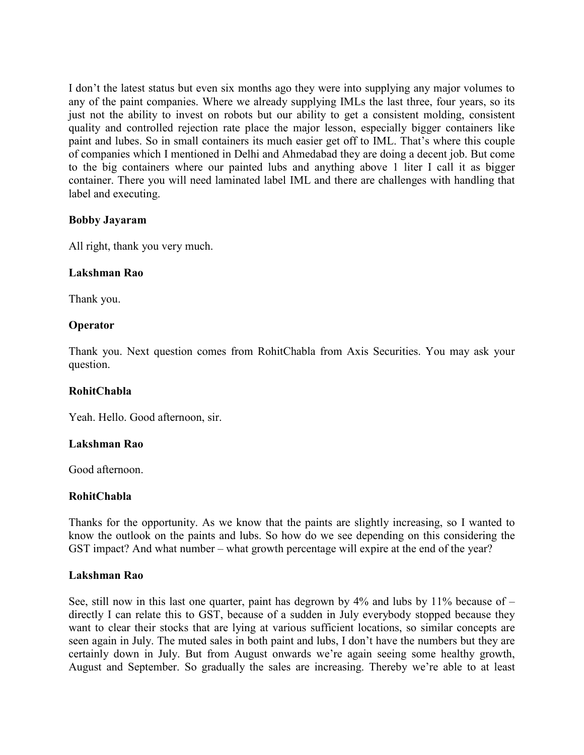I don't the latest status but even six months ago they were into supplying any major volumes to any of the paint companies. Where we already supplying IMLs the last three, four years, so its just not the ability to invest on robots but our ability to get a consistent molding, consistent quality and controlled rejection rate place the major lesson, especially bigger containers like paint and lubes. So in small containers its much easier get off to IML. That's where this couple of companies which I mentioned in Delhi and Ahmedabad they are doing a decent job. But come to the big containers where our painted lubs and anything above 1 liter I call it as bigger container. There you will need laminated label IML and there are challenges with handling that label and executing.

## **Bobby Jayaram**

All right, thank you very much.

## **Lakshman Rao**

Thank you.

# **Operator**

Thank you. Next question comes from RohitChabla from Axis Securities. You may ask your question.

### **RohitChabla**

Yeah. Hello. Good afternoon, sir.

### **Lakshman Rao**

Good afternoon.

### **RohitChabla**

Thanks for the opportunity. As we know that the paints are slightly increasing, so I wanted to know the outlook on the paints and lubs. So how do we see depending on this considering the GST impact? And what number – what growth percentage will expire at the end of the year?

### **Lakshman Rao**

See, still now in this last one quarter, paint has degrown by  $4\%$  and lubs by  $11\%$  because of – directly I can relate this to GST, because of a sudden in July everybody stopped because they want to clear their stocks that are lying at various sufficient locations, so similar concepts are seen again in July. The muted sales in both paint and lubs, I don't have the numbers but they are certainly down in July. But from August onwards we're again seeing some healthy growth, August and September. So gradually the sales are increasing. Thereby we're able to at least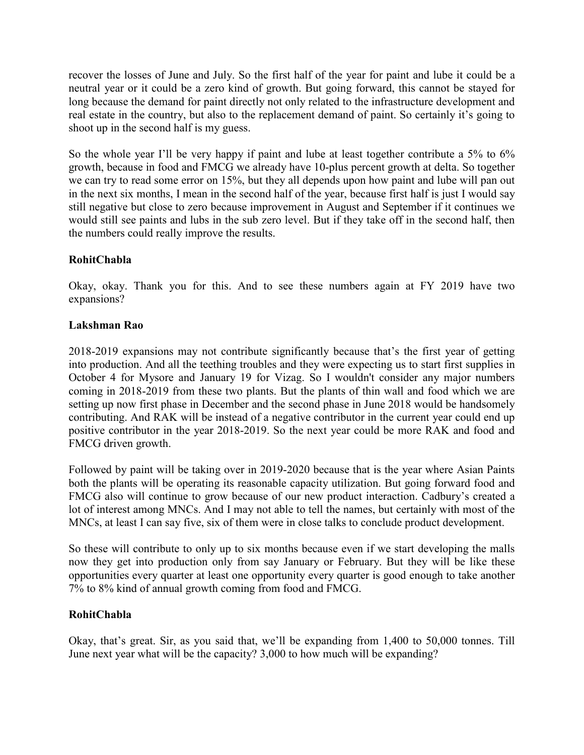recover the losses of June and July. So the first half of the year for paint and lube it could be a neutral year or it could be a zero kind of growth. But going forward, this cannot be stayed for long because the demand for paint directly not only related to the infrastructure development and real estate in the country, but also to the replacement demand of paint. So certainly it's going to shoot up in the second half is my guess.

So the whole year I'll be very happy if paint and lube at least together contribute a 5% to 6% growth, because in food and FMCG we already have 10-plus percent growth at delta. So together we can try to read some error on 15%, but they all depends upon how paint and lube will pan out in the next six months, I mean in the second half of the year, because first half is just I would say still negative but close to zero because improvement in August and September if it continues we would still see paints and lubs in the sub zero level. But if they take off in the second half, then the numbers could really improve the results.

# **RohitChabla**

Okay, okay. Thank you for this. And to see these numbers again at FY 2019 have two expansions?

# **Lakshman Rao**

2018-2019 expansions may not contribute significantly because that's the first year of getting into production. And all the teething troubles and they were expecting us to start first supplies in October 4 for Mysore and January 19 for Vizag. So I wouldn't consider any major numbers coming in 2018-2019 from these two plants. But the plants of thin wall and food which we are setting up now first phase in December and the second phase in June 2018 would be handsomely contributing. And RAK will be instead of a negative contributor in the current year could end up positive contributor in the year 2018-2019. So the next year could be more RAK and food and FMCG driven growth.

Followed by paint will be taking over in 2019-2020 because that is the year where Asian Paints both the plants will be operating its reasonable capacity utilization. But going forward food and FMCG also will continue to grow because of our new product interaction. Cadbury's created a lot of interest among MNCs. And I may not able to tell the names, but certainly with most of the MNCs, at least I can say five, six of them were in close talks to conclude product development.

So these will contribute to only up to six months because even if we start developing the malls now they get into production only from say January or February. But they will be like these opportunities every quarter at least one opportunity every quarter is good enough to take another 7% to 8% kind of annual growth coming from food and FMCG.

# **RohitChabla**

Okay, that's great. Sir, as you said that, we'll be expanding from 1,400 to 50,000 tonnes. Till June next year what will be the capacity? 3,000 to how much will be expanding?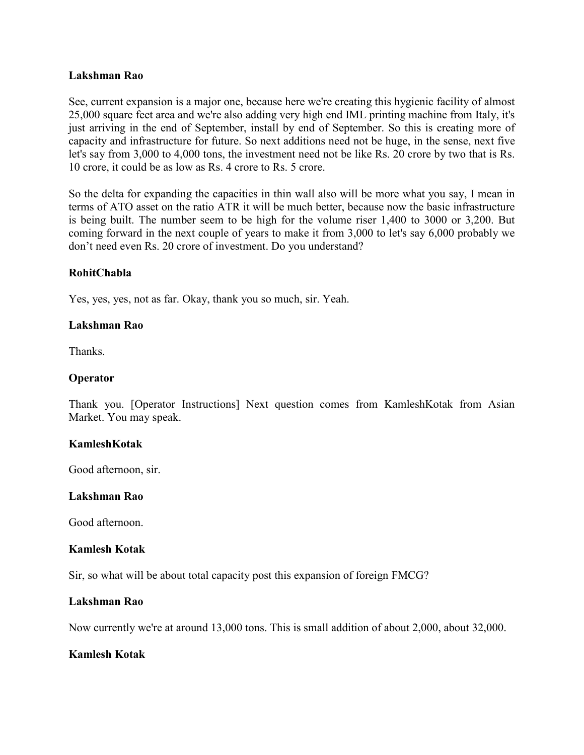See, current expansion is a major one, because here we're creating this hygienic facility of almost 25,000 square feet area and we're also adding very high end IML printing machine from Italy, it's just arriving in the end of September, install by end of September. So this is creating more of capacity and infrastructure for future. So next additions need not be huge, in the sense, next five let's say from 3,000 to 4,000 tons, the investment need not be like Rs. 20 crore by two that is Rs. 10 crore, it could be as low as Rs. 4 crore to Rs. 5 crore.

So the delta for expanding the capacities in thin wall also will be more what you say, I mean in terms of ATO asset on the ratio ATR it will be much better, because now the basic infrastructure is being built. The number seem to be high for the volume riser 1,400 to 3000 or 3,200. But coming forward in the next couple of years to make it from 3,000 to let's say 6,000 probably we don't need even Rs. 20 crore of investment. Do you understand?

### **RohitChabla**

Yes, yes, yes, not as far. Okay, thank you so much, sir. Yeah.

### **Lakshman Rao**

Thanks.

## **Operator**

Thank you. [Operator Instructions] Next question comes from KamleshKotak from Asian Market. You may speak.

### **KamleshKotak**

Good afternoon, sir.

### **Lakshman Rao**

Good afternoon.

### **Kamlesh Kotak**

Sir, so what will be about total capacity post this expansion of foreign FMCG?

### **Lakshman Rao**

Now currently we're at around 13,000 tons. This is small addition of about 2,000, about 32,000.

### **Kamlesh Kotak**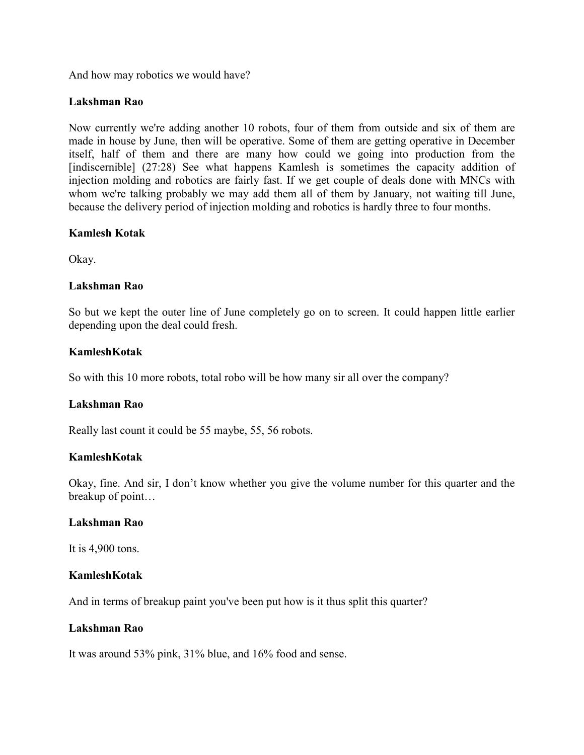And how may robotics we would have?

### **Lakshman Rao**

Now currently we're adding another 10 robots, four of them from outside and six of them are made in house by June, then will be operative. Some of them are getting operative in December itself, half of them and there are many how could we going into production from the [indiscernible] (27:28) See what happens Kamlesh is sometimes the capacity addition of injection molding and robotics are fairly fast. If we get couple of deals done with MNCs with whom we're talking probably we may add them all of them by January, not waiting till June, because the delivery period of injection molding and robotics is hardly three to four months.

#### **Kamlesh Kotak**

Okay.

#### **Lakshman Rao**

So but we kept the outer line of June completely go on to screen. It could happen little earlier depending upon the deal could fresh.

### **KamleshKotak**

So with this 10 more robots, total robo will be how many sir all over the company?

### **Lakshman Rao**

Really last count it could be 55 maybe, 55, 56 robots.

### **KamleshKotak**

Okay, fine. And sir, I don't know whether you give the volume number for this quarter and the breakup of point…

#### **Lakshman Rao**

It is 4,900 tons.

#### **KamleshKotak**

And in terms of breakup paint you've been put how is it thus split this quarter?

#### **Lakshman Rao**

It was around 53% pink, 31% blue, and 16% food and sense.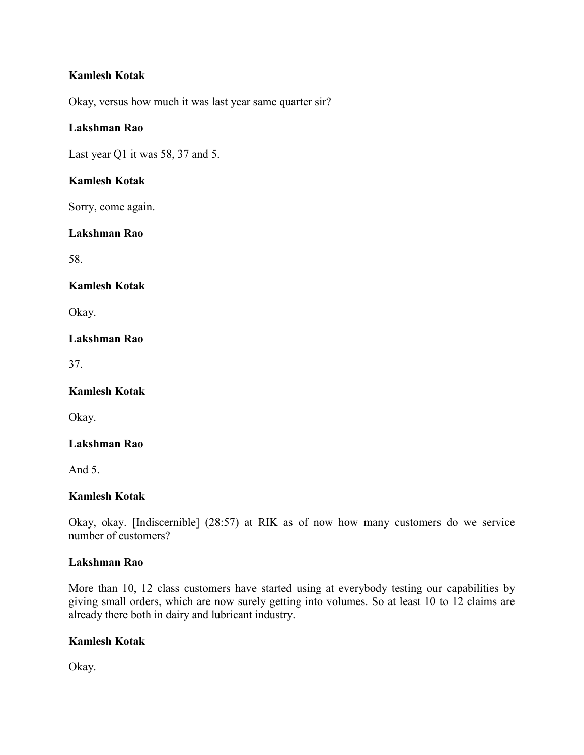# **Kamlesh Kotak**

Okay, versus how much it was last year same quarter sir?

# **Lakshman Rao**

Last year Q1 it was 58, 37 and 5.

## **Kamlesh Kotak**

Sorry, come again.

### **Lakshman Rao**

58.

**Kamlesh Kotak** 

Okay.

**Lakshman Rao** 

37.

### **Kamlesh Kotak**

Okay.

### **Lakshman Rao**

And 5.

# **Kamlesh Kotak**

Okay, okay. [Indiscernible] (28:57) at RIK as of now how many customers do we service number of customers?

### **Lakshman Rao**

More than 10, 12 class customers have started using at everybody testing our capabilities by giving small orders, which are now surely getting into volumes. So at least 10 to 12 claims are already there both in dairy and lubricant industry.

# **Kamlesh Kotak**

Okay.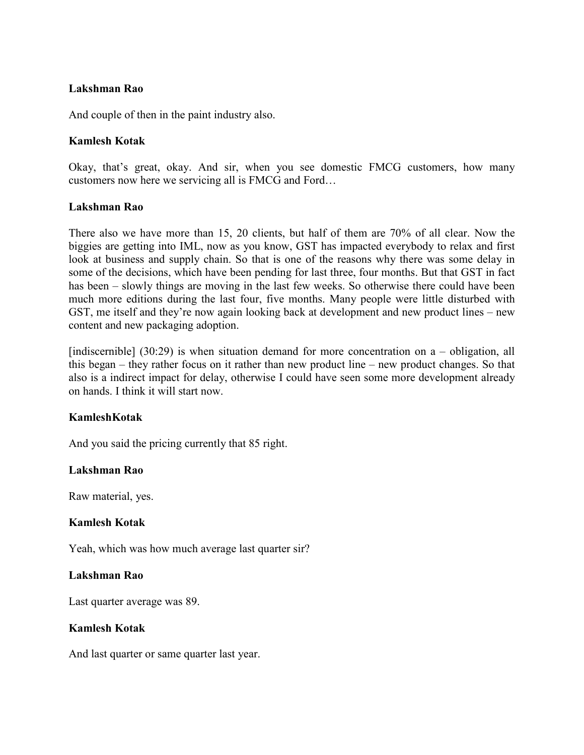And couple of then in the paint industry also.

## **Kamlesh Kotak**

Okay, that's great, okay. And sir, when you see domestic FMCG customers, how many customers now here we servicing all is FMCG and Ford…

### **Lakshman Rao**

There also we have more than 15, 20 clients, but half of them are 70% of all clear. Now the biggies are getting into IML, now as you know, GST has impacted everybody to relax and first look at business and supply chain. So that is one of the reasons why there was some delay in some of the decisions, which have been pending for last three, four months. But that GST in fact has been – slowly things are moving in the last few weeks. So otherwise there could have been much more editions during the last four, five months. Many people were little disturbed with GST, me itself and they're now again looking back at development and new product lines – new content and new packaging adoption.

[indiscernible]  $(30:29)$  is when situation demand for more concentration on a – obligation, all this began – they rather focus on it rather than new product line – new product changes. So that also is a indirect impact for delay, otherwise I could have seen some more development already on hands. I think it will start now.

### **KamleshKotak**

And you said the pricing currently that 85 right.

### **Lakshman Rao**

Raw material, yes.

### **Kamlesh Kotak**

Yeah, which was how much average last quarter sir?

### **Lakshman Rao**

Last quarter average was 89.

### **Kamlesh Kotak**

And last quarter or same quarter last year.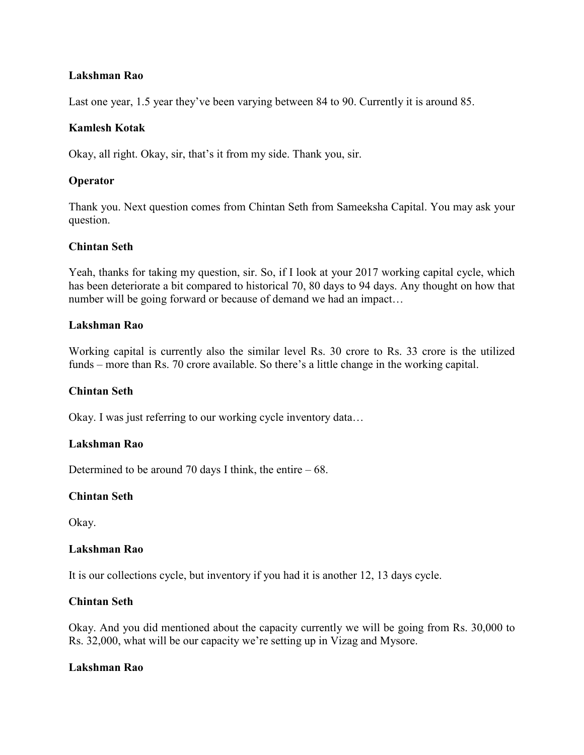Last one year, 1.5 year they've been varying between 84 to 90. Currently it is around 85.

## **Kamlesh Kotak**

Okay, all right. Okay, sir, that's it from my side. Thank you, sir.

## **Operator**

Thank you. Next question comes from Chintan Seth from Sameeksha Capital. You may ask your question.

## **Chintan Seth**

Yeah, thanks for taking my question, sir. So, if I look at your 2017 working capital cycle, which has been deteriorate a bit compared to historical 70, 80 days to 94 days. Any thought on how that number will be going forward or because of demand we had an impact…

### **Lakshman Rao**

Working capital is currently also the similar level Rs. 30 crore to Rs. 33 crore is the utilized funds – more than Rs. 70 crore available. So there's a little change in the working capital.

### **Chintan Seth**

Okay. I was just referring to our working cycle inventory data…

### **Lakshman Rao**

Determined to be around 70 days I think, the entire  $-68$ .

### **Chintan Seth**

Okay.

### **Lakshman Rao**

It is our collections cycle, but inventory if you had it is another 12, 13 days cycle.

### **Chintan Seth**

Okay. And you did mentioned about the capacity currently we will be going from Rs. 30,000 to Rs. 32,000, what will be our capacity we're setting up in Vizag and Mysore.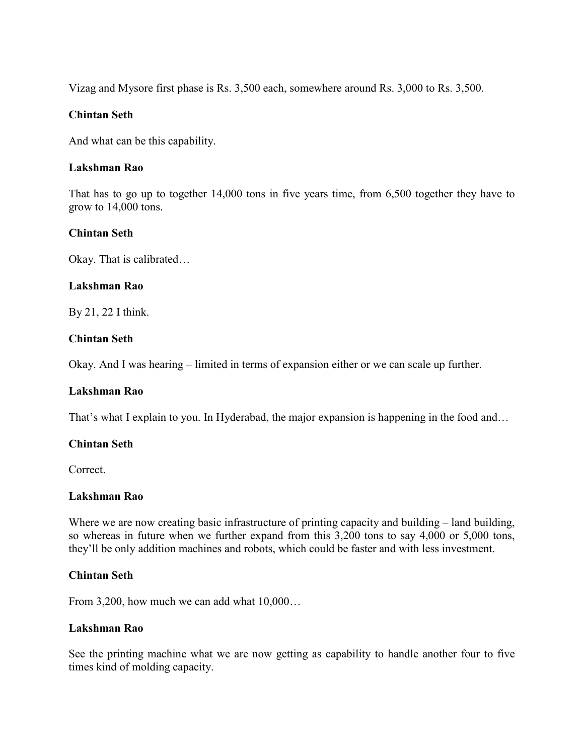Vizag and Mysore first phase is Rs. 3,500 each, somewhere around Rs. 3,000 to Rs. 3,500.

### **Chintan Seth**

And what can be this capability.

#### **Lakshman Rao**

That has to go up to together 14,000 tons in five years time, from 6,500 together they have to grow to 14,000 tons.

#### **Chintan Seth**

Okay. That is calibrated…

#### **Lakshman Rao**

By 21, 22 I think.

### **Chintan Seth**

Okay. And I was hearing – limited in terms of expansion either or we can scale up further.

### **Lakshman Rao**

That's what I explain to you. In Hyderabad, the major expansion is happening in the food and...

#### **Chintan Seth**

Correct.

#### **Lakshman Rao**

Where we are now creating basic infrastructure of printing capacity and building – land building, so whereas in future when we further expand from this 3,200 tons to say 4,000 or 5,000 tons, they'll be only addition machines and robots, which could be faster and with less investment.

#### **Chintan Seth**

From 3,200, how much we can add what 10,000…

#### **Lakshman Rao**

See the printing machine what we are now getting as capability to handle another four to five times kind of molding capacity.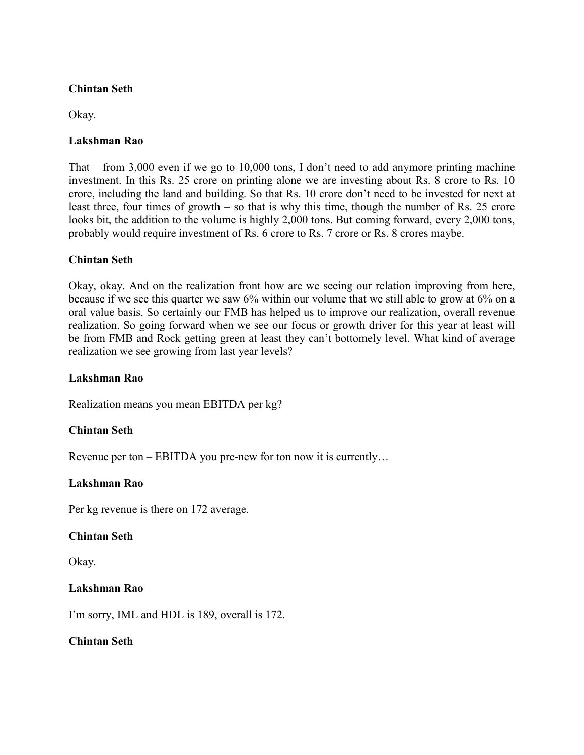# **Chintan Seth**

Okay.

## **Lakshman Rao**

That – from 3,000 even if we go to 10,000 tons, I don't need to add anymore printing machine investment. In this Rs. 25 crore on printing alone we are investing about Rs. 8 crore to Rs. 10 crore, including the land and building. So that Rs. 10 crore don't need to be invested for next at least three, four times of growth – so that is why this time, though the number of Rs. 25 crore looks bit, the addition to the volume is highly 2,000 tons. But coming forward, every 2,000 tons, probably would require investment of Rs. 6 crore to Rs. 7 crore or Rs. 8 crores maybe.

# **Chintan Seth**

Okay, okay. And on the realization front how are we seeing our relation improving from here, because if we see this quarter we saw 6% within our volume that we still able to grow at 6% on a oral value basis. So certainly our FMB has helped us to improve our realization, overall revenue realization. So going forward when we see our focus or growth driver for this year at least will be from FMB and Rock getting green at least they can't bottomely level. What kind of average realization we see growing from last year levels?

## **Lakshman Rao**

Realization means you mean EBITDA per kg?

# **Chintan Seth**

Revenue per ton – EBITDA you pre-new for ton now it is currently…

### **Lakshman Rao**

Per kg revenue is there on 172 average.

### **Chintan Seth**

Okay.

### **Lakshman Rao**

I'm sorry, IML and HDL is 189, overall is 172.

### **Chintan Seth**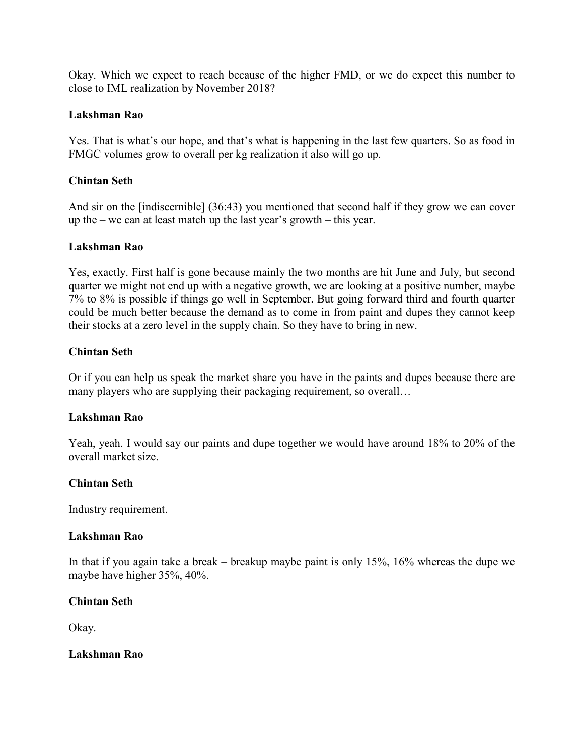Okay. Which we expect to reach because of the higher FMD, or we do expect this number to close to IML realization by November 2018?

# **Lakshman Rao**

Yes. That is what's our hope, and that's what is happening in the last few quarters. So as food in FMGC volumes grow to overall per kg realization it also will go up.

## **Chintan Seth**

And sir on the [indiscernible] (36:43) you mentioned that second half if they grow we can cover up the – we can at least match up the last year's growth – this year.

## **Lakshman Rao**

Yes, exactly. First half is gone because mainly the two months are hit June and July, but second quarter we might not end up with a negative growth, we are looking at a positive number, maybe 7% to 8% is possible if things go well in September. But going forward third and fourth quarter could be much better because the demand as to come in from paint and dupes they cannot keep their stocks at a zero level in the supply chain. So they have to bring in new.

## **Chintan Seth**

Or if you can help us speak the market share you have in the paints and dupes because there are many players who are supplying their packaging requirement, so overall…

### **Lakshman Rao**

Yeah, yeah. I would say our paints and dupe together we would have around 18% to 20% of the overall market size.

### **Chintan Seth**

Industry requirement.

### **Lakshman Rao**

In that if you again take a break – breakup maybe paint is only 15%, 16% whereas the dupe we maybe have higher 35%, 40%.

### **Chintan Seth**

Okay.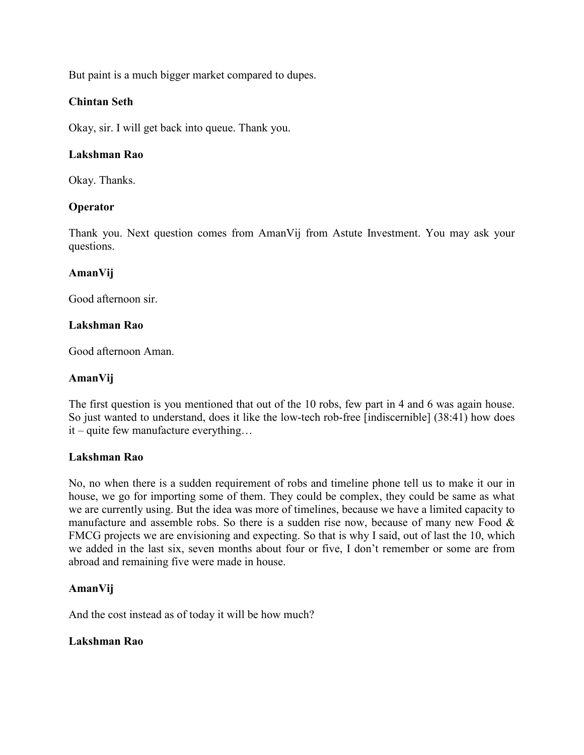But paint is a much bigger market compared to dupes.

## **Chintan Seth**

Okay, sir. I will get back into queue. Thank you.

## **Lakshman Rao**

Okay. Thanks.

## **Operator**

Thank you. Next question comes from AmanVij from Astute Investment. You may ask your questions.

## **AmanVij**

Good afternoon sir.

## **Lakshman Rao**

Good afternoon Aman.

## **AmanVij**

The first question is you mentioned that out of the 10 robs, few part in 4 and 6 was again house. So just wanted to understand, does it like the low-tech rob-free [indiscernible] (38:41) how does it – quite few manufacture everything…

### **Lakshman Rao**

No, no when there is a sudden requirement of robs and timeline phone tell us to make it our in house, we go for importing some of them. They could be complex, they could be same as what we are currently using. But the idea was more of timelines, because we have a limited capacity to manufacture and assemble robs. So there is a sudden rise now, because of many new Food  $\&$ FMCG projects we are envisioning and expecting. So that is why I said, out of last the 10, which we added in the last six, seven months about four or five, I don't remember or some are from abroad and remaining five were made in house.

### **AmanVij**

And the cost instead as of today it will be how much?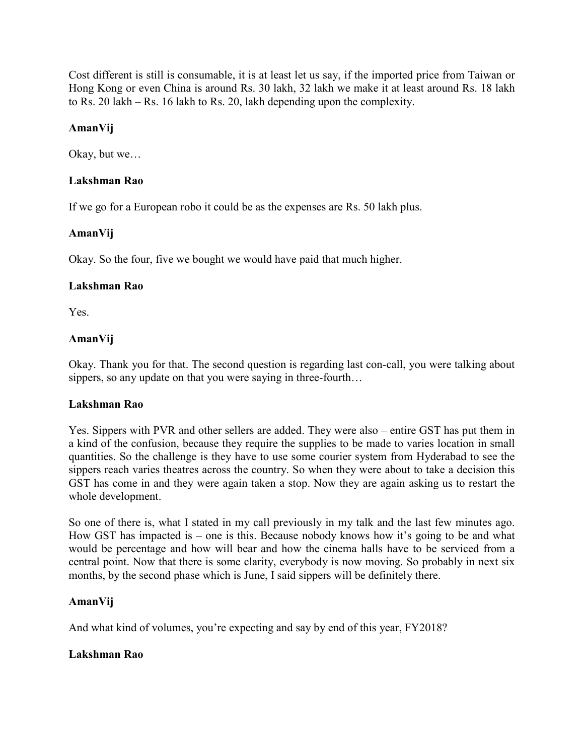Cost different is still is consumable, it is at least let us say, if the imported price from Taiwan or Hong Kong or even China is around Rs. 30 lakh, 32 lakh we make it at least around Rs. 18 lakh to Rs. 20 lakh – Rs. 16 lakh to Rs. 20, lakh depending upon the complexity.

# **AmanVij**

Okay, but we…

# **Lakshman Rao**

If we go for a European robo it could be as the expenses are Rs. 50 lakh plus.

# **AmanVij**

Okay. So the four, five we bought we would have paid that much higher.

# **Lakshman Rao**

Yes.

# **AmanVij**

Okay. Thank you for that. The second question is regarding last con-call, you were talking about sippers, so any update on that you were saying in three-fourth…

# **Lakshman Rao**

Yes. Sippers with PVR and other sellers are added. They were also – entire GST has put them in a kind of the confusion, because they require the supplies to be made to varies location in small quantities. So the challenge is they have to use some courier system from Hyderabad to see the sippers reach varies theatres across the country. So when they were about to take a decision this GST has come in and they were again taken a stop. Now they are again asking us to restart the whole development.

So one of there is, what I stated in my call previously in my talk and the last few minutes ago. How GST has impacted is – one is this. Because nobody knows how it's going to be and what would be percentage and how will bear and how the cinema halls have to be serviced from a central point. Now that there is some clarity, everybody is now moving. So probably in next six months, by the second phase which is June, I said sippers will be definitely there.

# **AmanVij**

And what kind of volumes, you're expecting and say by end of this year, FY2018?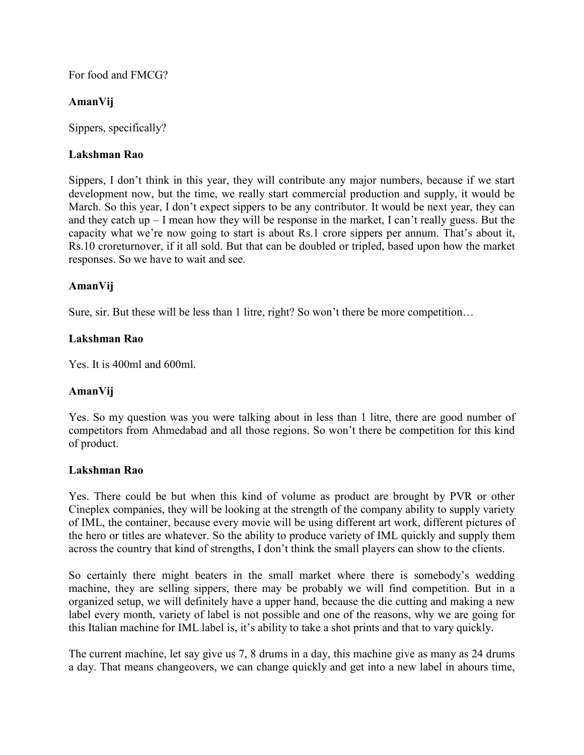For food and FMCG?

# **AmanVij**

Sippers, specifically?

# **Lakshman Rao**

Sippers, I don't think in this year, they will contribute any major numbers, because if we start development now, but the time, we really start commercial production and supply, it would be March. So this year, I don't expect sippers to be any contributor. It would be next year, they can and they catch up – I mean how they will be response in the market, I can't really guess. But the capacity what we're now going to start is about Rs.1 crore sippers per annum. That's about it, Rs.10 croreturnover, if it all sold. But that can be doubled or tripled, based upon how the market responses. So we have to wait and see.

# **AmanVij**

Sure, sir. But these will be less than 1 litre, right? So won't there be more competition…

# **Lakshman Rao**

Yes. It is 400ml and 600ml.

# **AmanVij**

Yes. So my question was you were talking about in less than 1 litre, there are good number of competitors from Ahmedabad and all those regions. So won't there be competition for this kind of product.

### **Lakshman Rao**

Yes. There could be but when this kind of volume as product are brought by PVR or other Cineplex companies, they will be looking at the strength of the company ability to supply variety of IML, the container, because every movie will be using different art work, different pictures of the hero or titles are whatever. So the ability to produce variety of IML quickly and supply them across the country that kind of strengths, I don't think the small players can show to the clients.

So certainly there might beaters in the small market where there is somebody's wedding machine, they are selling sippers, there may be probably we will find competition. But in a organized setup, we will definitely have a upper hand, because the die cutting and making a new label every month, variety of label is not possible and one of the reasons, why we are going for this Italian machine for IML label is, it's ability to take a shot prints and that to vary quickly.

The current machine, let say give us 7, 8 drums in a day, this machine give as many as 24 drums a day. That means changeovers, we can change quickly and get into a new label in ahours time,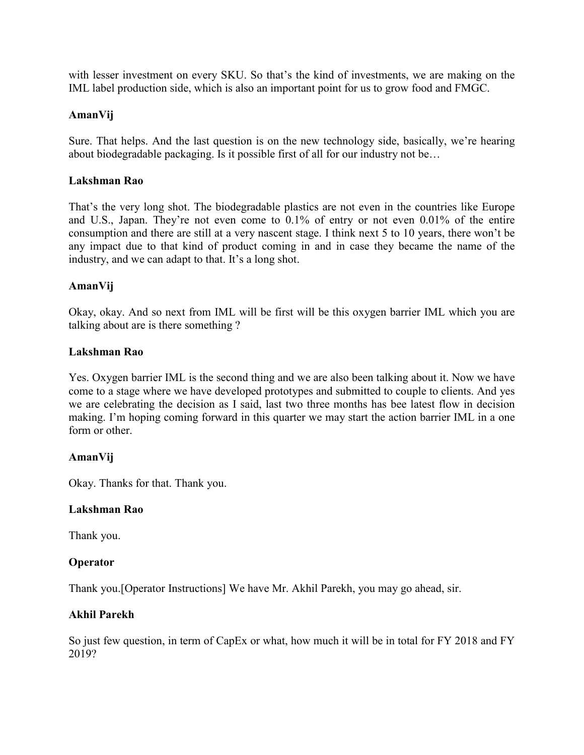with lesser investment on every SKU. So that's the kind of investments, we are making on the IML label production side, which is also an important point for us to grow food and FMGC.

### **AmanVij**

Sure. That helps. And the last question is on the new technology side, basically, we're hearing about biodegradable packaging. Is it possible first of all for our industry not be…

## **Lakshman Rao**

That's the very long shot. The biodegradable plastics are not even in the countries like Europe and U.S., Japan. They're not even come to 0.1% of entry or not even 0.01% of the entire consumption and there are still at a very nascent stage. I think next 5 to 10 years, there won't be any impact due to that kind of product coming in and in case they became the name of the industry, and we can adapt to that. It's a long shot.

## **AmanVij**

Okay, okay. And so next from IML will be first will be this oxygen barrier IML which you are talking about are is there something ?

### **Lakshman Rao**

Yes. Oxygen barrier IML is the second thing and we are also been talking about it. Now we have come to a stage where we have developed prototypes and submitted to couple to clients. And yes we are celebrating the decision as I said, last two three months has bee latest flow in decision making. I'm hoping coming forward in this quarter we may start the action barrier IML in a one form or other.

### **AmanVij**

Okay. Thanks for that. Thank you.

### **Lakshman Rao**

Thank you.

### **Operator**

Thank you.[Operator Instructions] We have Mr. Akhil Parekh, you may go ahead, sir.

### **Akhil Parekh**

So just few question, in term of CapEx or what, how much it will be in total for FY 2018 and FY 2019?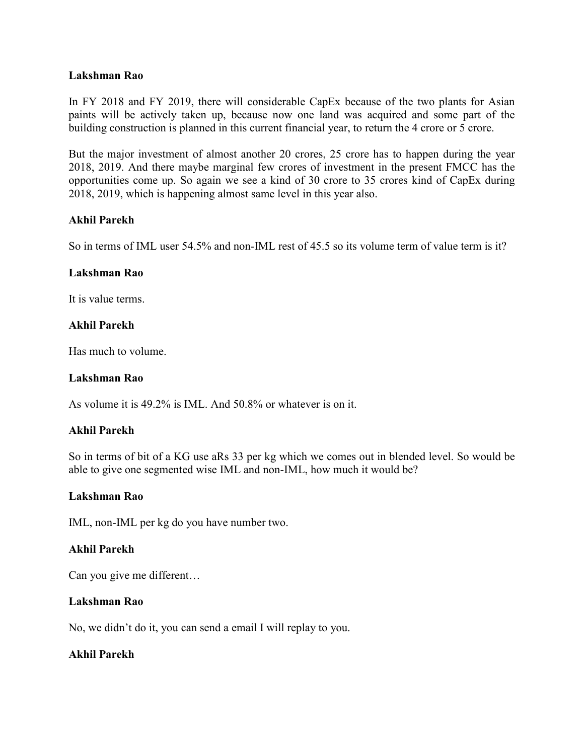In FY 2018 and FY 2019, there will considerable CapEx because of the two plants for Asian paints will be actively taken up, because now one land was acquired and some part of the building construction is planned in this current financial year, to return the 4 crore or 5 crore.

But the major investment of almost another 20 crores, 25 crore has to happen during the year 2018, 2019. And there maybe marginal few crores of investment in the present FMCC has the opportunities come up. So again we see a kind of 30 crore to 35 crores kind of CapEx during 2018, 2019, which is happening almost same level in this year also.

### **Akhil Parekh**

So in terms of IML user 54.5% and non-IML rest of 45.5 so its volume term of value term is it?

#### **Lakshman Rao**

It is value terms.

### **Akhil Parekh**

Has much to volume.

#### **Lakshman Rao**

As volume it is 49.2% is IML. And 50.8% or whatever is on it.

#### **Akhil Parekh**

So in terms of bit of a KG use aRs 33 per kg which we comes out in blended level. So would be able to give one segmented wise IML and non-IML, how much it would be?

#### **Lakshman Rao**

IML, non-IML per kg do you have number two.

### **Akhil Parekh**

Can you give me different…

#### **Lakshman Rao**

No, we didn't do it, you can send a email I will replay to you.

### **Akhil Parekh**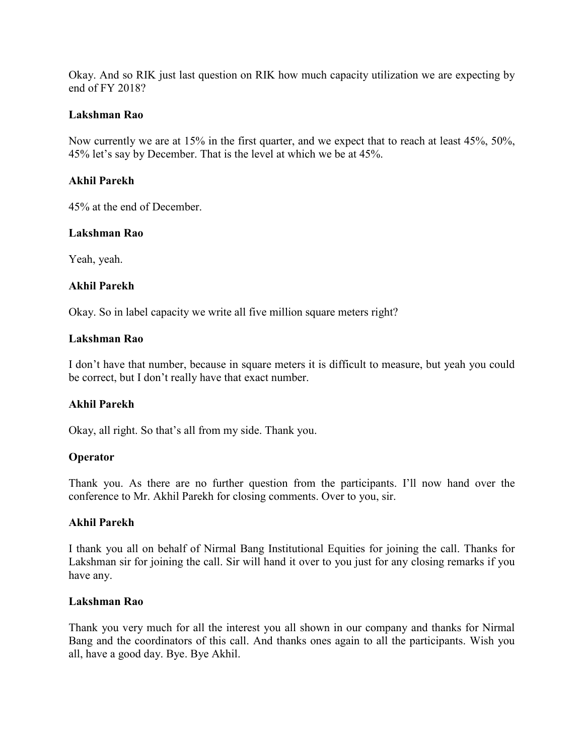Okay. And so RIK just last question on RIK how much capacity utilization we are expecting by end of FY 2018?

## **Lakshman Rao**

Now currently we are at 15% in the first quarter, and we expect that to reach at least 45%, 50%, 45% let's say by December. That is the level at which we be at 45%.

## **Akhil Parekh**

45% at the end of December.

### **Lakshman Rao**

Yeah, yeah.

## **Akhil Parekh**

Okay. So in label capacity we write all five million square meters right?

### **Lakshman Rao**

I don't have that number, because in square meters it is difficult to measure, but yeah you could be correct, but I don't really have that exact number.

### **Akhil Parekh**

Okay, all right. So that's all from my side. Thank you.

### **Operator**

Thank you. As there are no further question from the participants. I'll now hand over the conference to Mr. Akhil Parekh for closing comments. Over to you, sir.

### **Akhil Parekh**

I thank you all on behalf of Nirmal Bang Institutional Equities for joining the call. Thanks for Lakshman sir for joining the call. Sir will hand it over to you just for any closing remarks if you have any.

#### **Lakshman Rao**

Thank you very much for all the interest you all shown in our company and thanks for Nirmal Bang and the coordinators of this call. And thanks ones again to all the participants. Wish you all, have a good day. Bye. Bye Akhil.